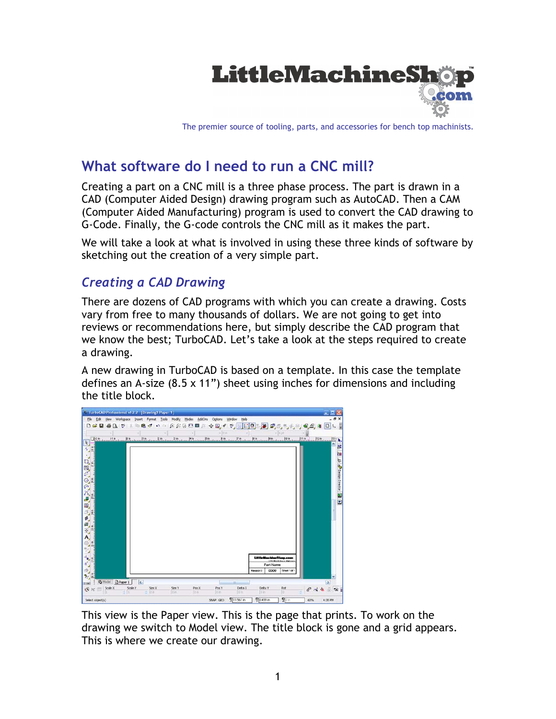

The premier source of tooling, parts, and accessories for bench top machinists.

# **What software do I need to run a CNC mill?**

Creating a part on a CNC mill is a three phase process. The part is drawn in a CAD (Computer Aided Design) drawing program such as AutoCAD. Then a CAM (Computer Aided Manufacturing) program is used to convert the CAD drawing to G-Code. Finally, the G-code controls the CNC mill as it makes the part.

We will take a look at what is involved in using these three kinds of software by sketching out the creation of a very simple part.

### *Creating a CAD Drawing*

There are dozens of CAD programs with which you can create a drawing. Costs vary from free to many thousands of dollars. We are not going to get into reviews or recommendations here, but simply describe the CAD program that we know the best; TurboCAD. Let's take a look at the steps required to create a drawing.

A new drawing in TurboCAD is based on a template. In this case the template defines an A-size (8.5 x 11") sheet using inches for dimensions and including the title block.

| <b>C TurboCAD Professional v12.2 [Drawing1 Paper 1]</b>                                                                       |                          |                                         | $-1-1$                                |
|-------------------------------------------------------------------------------------------------------------------------------|--------------------------|-----------------------------------------|---------------------------------------|
| Format Tools Modify Modes<br>Workgpace<br>AddOns<br>Elle<br>Edit<br><b>View</b><br>Insert                                     | Heb<br>Options<br>Window |                                         | $ \theta$ $\times$                    |
| $E \in \mathbf{H}$<br>₩<br>್<br>D<br>ы<br>o<br>$\alpha$<br>Ca.                                                                | ☆ 国 、                    | ツ国口図を2005年 5月                           | F<br>$D$ <sub>k</sub><br>6. <i>2.</i> |
|                                                                                                                               | $-10m$                   | $= 614$                                 |                                       |
| 18. Beach 18. Beach 18. Beach 18. Beach 18. Beach 18. Beach 18. Beach 18. Beach 18. Beach 19. Beach 18. Beach<br>$\mathbf{R}$ |                          |                                         | 臤<br>h,                               |
|                                                                                                                               |                          |                                         | ۰                                     |
|                                                                                                                               |                          |                                         | <b>K N E Second Second R D</b>        |
|                                                                                                                               |                          |                                         |                                       |
|                                                                                                                               |                          |                                         |                                       |
|                                                                                                                               |                          |                                         |                                       |
|                                                                                                                               |                          |                                         |                                       |
|                                                                                                                               |                          |                                         |                                       |
|                                                                                                                               |                          |                                         |                                       |
|                                                                                                                               |                          |                                         |                                       |
|                                                                                                                               |                          |                                         |                                       |
|                                                                                                                               |                          |                                         |                                       |
|                                                                                                                               |                          |                                         |                                       |
|                                                                                                                               |                          |                                         |                                       |
|                                                                                                                               |                          |                                         |                                       |
|                                                                                                                               |                          |                                         |                                       |
|                                                                                                                               |                          |                                         |                                       |
|                                                                                                                               |                          |                                         |                                       |
|                                                                                                                               |                          | LittleMachineShop.com<br>LISERAGAN AMAN |                                       |
|                                                                                                                               |                          | Part Name                               |                                       |
|                                                                                                                               |                          | 0000<br>Sheet 1 of 1<br><b>Havson</b> 0 |                                       |
| D Paper 1<br><b>BModel</b><br>$\overline{6}$<br>said                                                                          |                          |                                         | $\left  \cdot \right\rangle$          |
| Scale Y<br>$\frac{\text{Scale X}}{1}$<br>Sze Y<br>Size X<br>Pos X<br>8 ×                                                      | Delta X<br>Pos Y         | Delta Y<br>Rot                          | $6$ $44.5$                            |
| 1016<br>10x<br>初近                                                                                                             | 10 m<br>$10\,m$          | 行<br><b>U</b> its                       |                                       |
| Select object(s)                                                                                                              | 911.567n<br>SNAP GEO     | <b>V</b> 8.499 in<br>$g_{0n}$           | 60%<br>4:35 PM                        |

This view is the Paper view. This is the page that prints. To work on the drawing we switch to Model view. The title block is gone and a grid appears. This is where we create our drawing.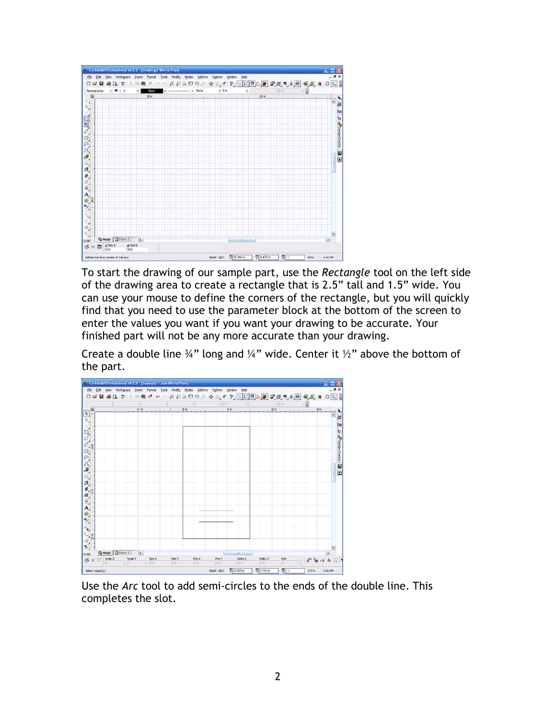

To start the drawing of our sample part, use the *Rectangle* tool on the left side of the drawing area to create a rectangle that is 2.5" tall and 1.5" wide. You can use your mouse to define the corners of the rectangle, but you will quickly find that you need to use the parameter block at the bottom of the screen to enter the values you want if you want your drawing to be accurate. Your finished part will not be any more accurate than your drawing.

Create a double line  $\frac{3}{4}$ " long and  $\frac{1}{4}$ " wide. Center it  $\frac{1}{2}$ " above the bottom of the part.



Use the *Arc* tool to add semi-circles to the ends of the double line. This completes the slot.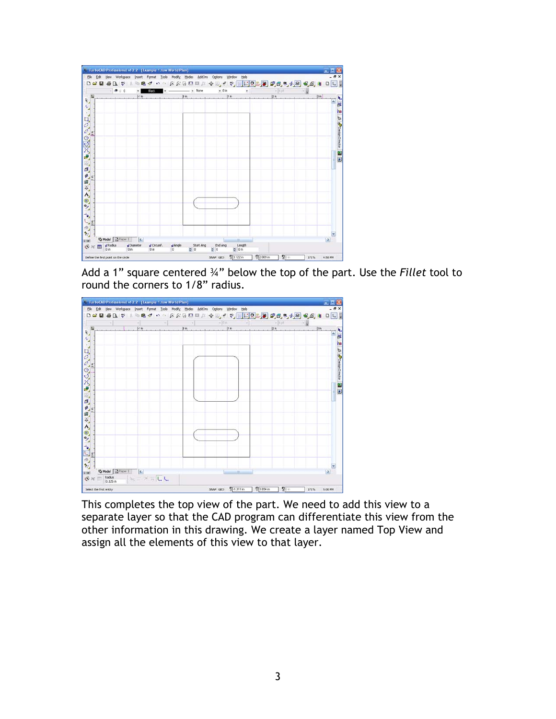

Add a 1" square centered ¾" below the top of the part. Use the *Fillet* tool to round the corners to 1/8" radius.



This completes the top view of the part. We need to add this view to a separate layer so that the CAD program can differentiate this view from the other information in this drawing. We create a layer named Top View and assign all the elements of this view to that layer.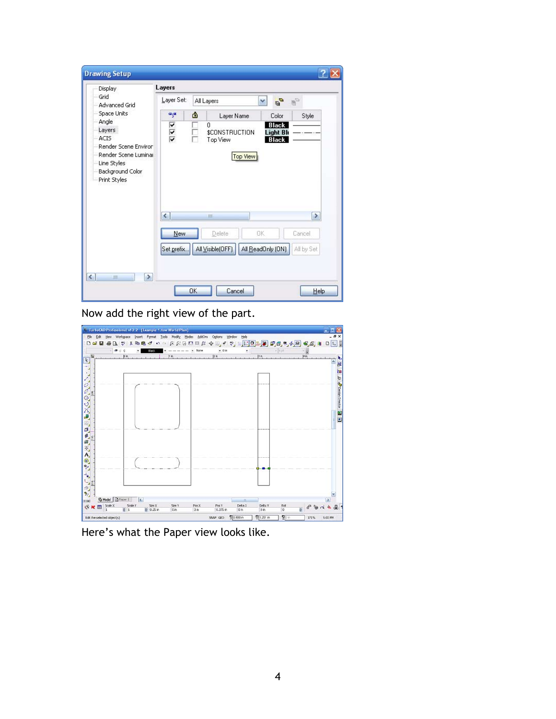| <b>Display</b>                      | Layers        |   |                            |                                  |               |
|-------------------------------------|---------------|---|----------------------------|----------------------------------|---------------|
| Grid<br>Advanced Grid               | Layer Set:    |   | All Layers                 | $\mathcal{O}$<br>×               | y.            |
| Space Units                         | aya           | â | Layer Name                 | Color                            | Style         |
| Angle<br>Layers                     |               |   | $\Omega$                   | <b>Black</b>                     |               |
| <b>ACIS</b>                         | $\frac{1}{2}$ |   | \$CONSTRUCTION<br>Top View | <b>Light Blu</b><br><b>Black</b> |               |
| Render Scene Environ                |               |   |                            |                                  |               |
| Render Scene Luminar<br>Line Styles |               |   | <b>Top View</b>            |                                  |               |
| Background Color                    |               |   |                            |                                  |               |
| Print Styles                        |               |   |                            |                                  |               |
|                                     |               |   |                            |                                  |               |
|                                     |               |   |                            |                                  |               |
|                                     |               |   |                            |                                  |               |
|                                     | $\leq$        |   | Ш                          |                                  | $\rightarrow$ |
|                                     | New           |   | Delete                     | <b>DK</b>                        | Cancel        |
|                                     |               |   |                            |                                  |               |
|                                     | Set prefix.   |   | All Visible(OFF)           | All ReadOnly (ON)                | All by Set    |
|                                     |               |   |                            |                                  |               |

Now add the right view of the part.



Here's what the Paper view looks like.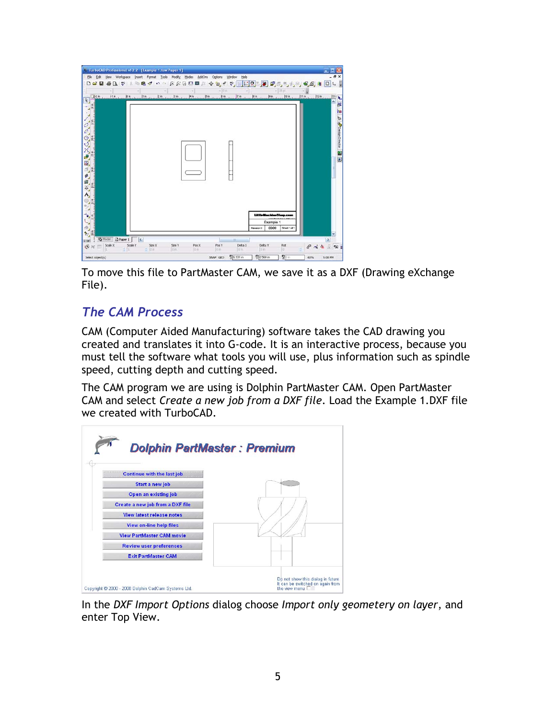

To move this file to PartMaster CAM, we save it as a DXF (Drawing eXchange File).

## *The CAM Process*

CAM (Computer Aided Manufacturing) software takes the CAD drawing you created and translates it into G-code. It is an interactive process, because you must tell the software what tools you will use, plus information such as spindle speed, cutting depth and cutting speed.

The CAM program we are using is Dolphin PartMaster CAM. Open PartMaster CAM and select *Create a new job from a DXF file*. Load the Example 1.DXF file we created with TurboCAD.



In the *DXF Import Options* dialog choose *Import only geometery on layer*, and enter Top View.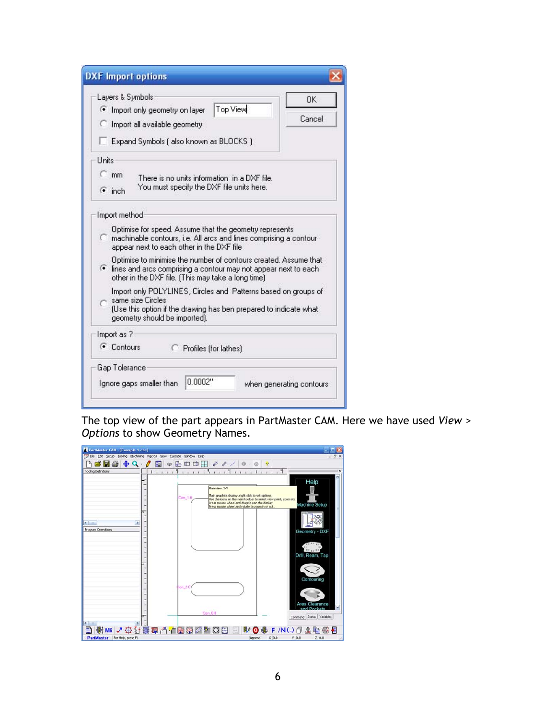| Layers & Symbols:                                                                                                                                                                           | $\Omega$ K |
|---------------------------------------------------------------------------------------------------------------------------------------------------------------------------------------------|------------|
| Top View<br>• Import only geometry on layer                                                                                                                                                 | Cancel     |
| Import all available geometry                                                                                                                                                               |            |
| Expand Symbols (also known as BLOCKS)                                                                                                                                                       |            |
| Units                                                                                                                                                                                       |            |
| $\subset$ mm<br>There is no units information in a DXF file.                                                                                                                                |            |
| You must specify the DXF file units here.<br>$\bullet$ inch                                                                                                                                 |            |
| Import method                                                                                                                                                                               |            |
| Optimise for speed. Assume that the geometry represents<br>machinable contours, i.e. All arcs and lines comprising a contour<br>appear next to each other in the DXF file                   |            |
| Optimise to minimise the number of contours created. Assume that<br>. lines and arcs comprising a contour may not appear next to each<br>other in the DXF file. (This may take a long time) |            |
| Import only POLYLINES, Circles and Patterns based on groups of<br>same size Circles<br>(Use this option if the drawing has ben prepared to indicate what<br>geometry should be imported).   |            |
| Import as ?-                                                                                                                                                                                |            |
| • Contours<br>Profiles (for lathes)                                                                                                                                                         |            |
| Gap Tolerance                                                                                                                                                                               |            |

The top view of the part appears in PartMaster CAM. Here we have used *View > Options* to show Geometry Names.

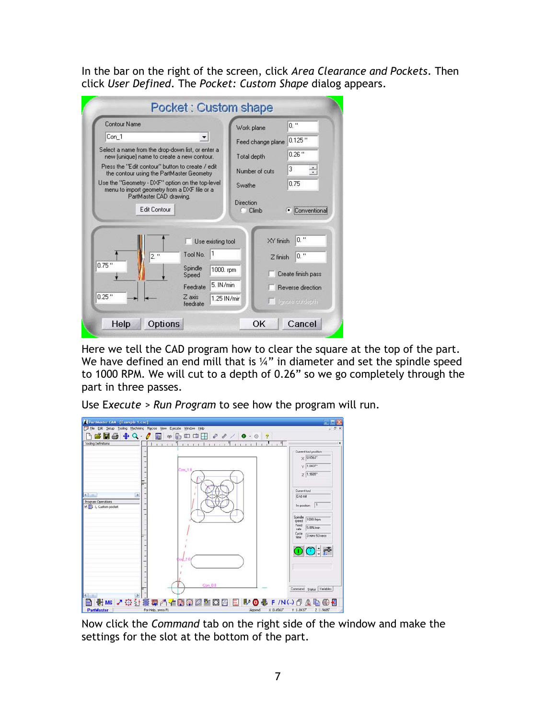In the bar on the right of the screen, click *Area Clearance and Pockets*. Then click *User Defined*. The *Pocket: Custom Shape* dialog appears.

| <b>Contour Name</b>                                                                              |                                    | Work plane        | $0.$ "             |
|--------------------------------------------------------------------------------------------------|------------------------------------|-------------------|--------------------|
| Con_1                                                                                            |                                    | Feed change plane | $0.125$ "          |
| Select a name from the drop-down list, or enter a<br>new [unique] name to create a new contour.  |                                    | Total depth       | $0.26$ "           |
| Press the "Edit contour" button to create / edit<br>the contour using the PartMaster Geometry    |                                    | Number of cuts    | 3<br>÷             |
| Use the "Geometry - DXF" option on the top-level<br>menu to import geometry from a DXF file or a |                                    | Swathe            | 0.75               |
|                                                                                                  | Edit Contour                       | C Climb           | Conventic          |
|                                                                                                  |                                    | XY finish         | $0.$ "             |
| $2.$ "                                                                                           | Use existing tool<br>1<br>Tool No. | $Z$ finish        | $0.$ "             |
|                                                                                                  | Spindle<br>1000. rpm<br>Speed      |                   | Create finish pass |
| $0.75$ "                                                                                         | 5. IN/min<br>Feedrate              |                   | Reverse direction  |

Here we tell the CAD program how to clear the square at the top of the part. We have defined an end mill that is 1/4" in diameter and set the spindle speed to 1000 RPM. We will cut to a depth of 0.26" so we go completely through the part in three passes.

Use E*xecute > Run Program* to see how the program will run.



Now click the *Command* tab on the right side of the window and make the settings for the slot at the bottom of the part.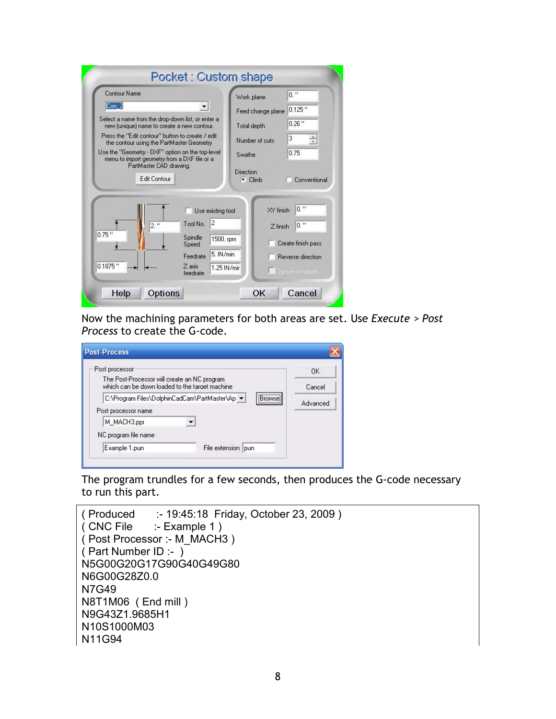| Contour Name                                                                                                                                |                                                                                                       | Work plane                                           | $0.$ "                                                                           |
|---------------------------------------------------------------------------------------------------------------------------------------------|-------------------------------------------------------------------------------------------------------|------------------------------------------------------|----------------------------------------------------------------------------------|
| Con 2                                                                                                                                       |                                                                                                       | Feed change plane                                    | $0.125$ "                                                                        |
| Select a name from the drop-down list, or enter a                                                                                           |                                                                                                       | Total depth                                          | $0.26$ "                                                                         |
| new (unique) name to create a new contour.<br>Press the "Edit contour" button to create / edit<br>the contour using the PartMaster Geometry |                                                                                                       | Number of cuts                                       | 3<br>÷                                                                           |
| Use the "Geometry - DXF" option on the top-level<br>menu to import geometry from a DXF file or a<br>PartMaster CAD drawing.                 |                                                                                                       | Swathe                                               | 0.75                                                                             |
| Edit Contour                                                                                                                                |                                                                                                       | <b>Direction</b><br>$\bullet$ Climb                  | Conventional                                                                     |
| $2.$ "<br>$0.75$ "<br>$0.1875$ "                                                                                                            | Use existing tool<br>2<br>Tool No.<br>Spindle<br>Speed<br>5. IN/min<br>Feedrate<br>Z axis<br>feedrate | XY finish<br>$Z$ finish<br>1500. rpm<br>1.25 IN/mir. | $0.$ "<br>$0.$ "<br>Create finish pass<br>Reverse direction<br>Lengrere outdepth |

Now the machining parameters for both areas are set. Use *Execute > Post Process* to create the G-code.

| Post processor                                                                                 |                                                                               | <b>DK</b> |
|------------------------------------------------------------------------------------------------|-------------------------------------------------------------------------------|-----------|
| The Post-Processor will create an NC program<br>which can be down loaded to the target machine |                                                                               | Cancel    |
|                                                                                                | ,,,,,,,,,,,,,,,,<br>C:\Program Files\DolphinCadCam\PartMaster\Ap \*<br>Browse | Advanced  |
| Post processor name                                                                            |                                                                               |           |
| M MACH3.ppr                                                                                    |                                                                               |           |
| NC program file name                                                                           |                                                                               |           |

The program trundles for a few seconds, then produces the G-code necessary to run this part.

```
( Produced :- 19:45:18 Friday, October 23, 2009 ) 
             : Example 1 )
( Post Processor :- M_MACH3 ) 
( Part Number ID :- ) 
N5G00G20G17G90G40G49G80 
N6G00G28Z0.0 
N7G49 
N8T1M06 ( End mill ) 
N9G43Z1.9685H1 
N10S1000M03 
N11G94
```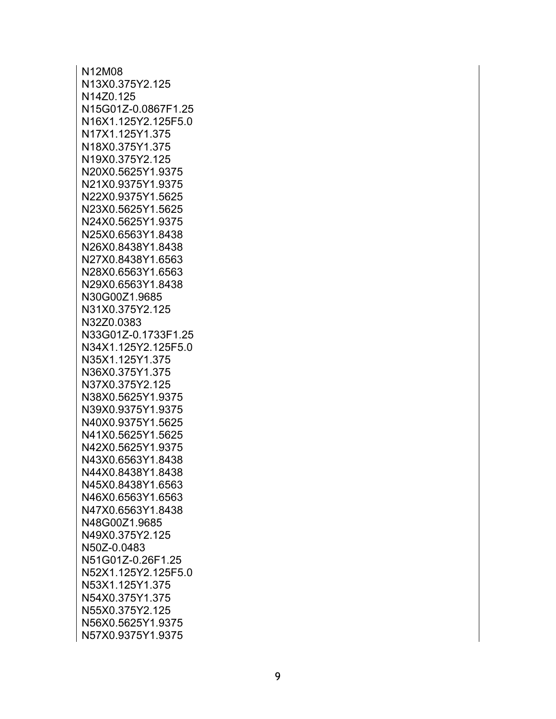N12M08 N13X0.375Y2.125 N14Z0.125 N15G01Z-0.0867F1.25 N16X1.125Y2.125F5.0 N17X1.125Y1.375 N18X0.375Y1.375 N19X0.375Y2.125 N20X0.5625Y1.9375 N21X0.9375Y1.9375 N22X0.9375Y1.5625 N23X0.5625Y1.5625 N24X0.5625Y1.9375 N25X0.6563Y1.8438 N26X0.8438Y1.8438 N27X0.8438Y1.6563 N28X0.6563Y1.6563 N29X0.6563Y1.8438 N30G00Z1.9685 N31X0.375Y2.125 N32Z0.0383 N33G01Z-0.1733F1.25 N34X1.125Y2.125F5.0 N35X1.125Y1.375 N36X0.375Y1.375 N37X0.375Y2.125 N38X0.5625Y1.9375 N39X0.9375Y1.9375 N40X0.9375Y1.5625 N41X0.5625Y1.5625 N42X0.5625Y1.9375 N43X0.6563Y1.8438 N44X0.8438Y1.8438 N45X0.8438Y1.6563 N46X0.6563Y1.6563 N47X0.6563Y1.8438 N48G00Z1.9685 N49X0.375Y2.125 N50Z-0.0483 N51G01Z-0.26F1.25 N52X1.125Y2.125F5.0 N53X1.125Y1.375 N54X0.375Y1.375 N55X0.375Y2.125 N56X0.5625Y1.9375 N57X0.9375Y1.9375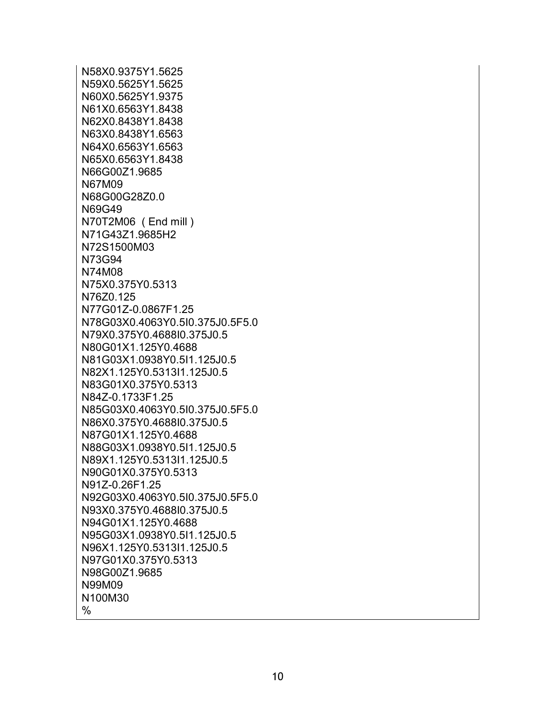N58X0.9375Y1.5625 N59X0.5625Y1.5625 N60X0.5625Y1.9375 N61X0.6563Y1.8438 N62X0.8438Y1.8438 N63X0.8438Y1.6563 N64X0.6563Y1.6563 N65X0.6563Y1.8438 N66G00Z1.9685 N67M09 N68G00G28Z0.0 N69G49 N70T2M06 ( End mill ) N71G43Z1.9685H2 N72S1500M03 N73G94 N74M08 N75X0.375Y0.5313 N76Z0.125 N77G01Z-0.0867F1.25 N78G03X0.4063Y0.5I0.375J0.5F5.0 N79X0.375Y0.4688I0.375J0.5 N80G01X1.125Y0.4688 N81G03X1.0938Y0.5I1.125J0.5 N82X1.125Y0.5313I1.125J0.5 N83G01X0.375Y0.5313 N84Z-0.1733F1.25 N85G03X0.4063Y0.5I0.375J0.5F5.0 N86X0.375Y0.4688I0.375J0.5 N87G01X1.125Y0.4688 N88G03X1.0938Y0.5I1.125J0.5 N89X1.125Y0.5313I1.125J0.5 N90G01X0.375Y0.5313 N91Z-0.26F1.25 N92G03X0.4063Y0.5I0.375J0.5F5.0 N93X0.375Y0.4688I0.375J0.5 N94G01X1.125Y0.4688 N95G03X1.0938Y0.5I1.125J0.5 N96X1.125Y0.5313I1.125J0.5 N97G01X0.375Y0.5313 N98G00Z1.9685 N99M09 N100M30 %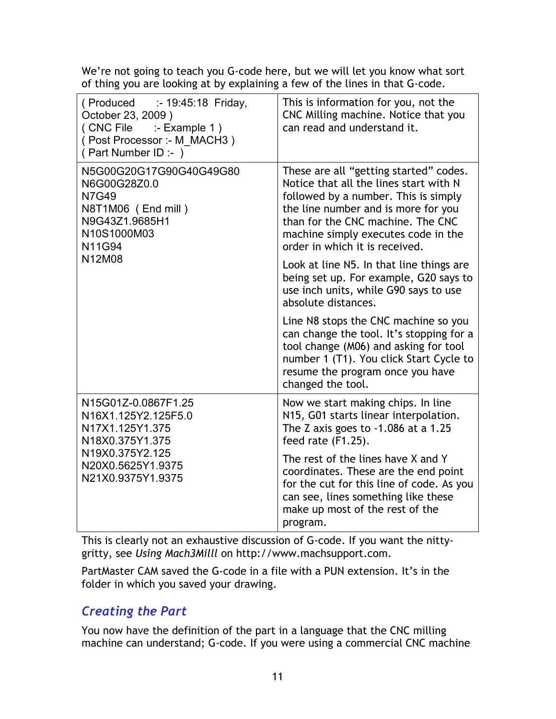We're not going to teach you G-code here, but we will let you know what sort of thing you are looking at by explaining a few of the lines in that G-code.

| $($ Produced $\qquad$ :- 19:45:18 Friday,<br>October 23, 2009)<br>(CNC File :- Example 1)<br>(Post Processor :- M MACH3)<br>(Part Number ID :- ) | This is information for you, not the<br>CNC Milling machine. Notice that you<br>can read and understand it.                                                                                                                                                                   |
|--------------------------------------------------------------------------------------------------------------------------------------------------|-------------------------------------------------------------------------------------------------------------------------------------------------------------------------------------------------------------------------------------------------------------------------------|
| N5G00G20G17G90G40G49G80<br>N6G00G28Z0.0<br><b>N7G49</b><br>N8T1M06 (End mill)<br>N9G43Z1.9685H1<br>N10S1000M03<br>N11G94                         | These are all "getting started" codes.<br>Notice that all the lines start with N<br>followed by a number. This is simply<br>the line number and is more for you<br>than for the CNC machine. The CNC<br>machine simply executes code in the<br>order in which it is received. |
| N12M08                                                                                                                                           | Look at line N5. In that line things are<br>being set up. For example, G20 says to<br>use inch units, while G90 says to use<br>absolute distances.                                                                                                                            |
|                                                                                                                                                  | Line N8 stops the CNC machine so you<br>can change the tool. It's stopping for a<br>tool change (M06) and asking for tool<br>number 1 (T1). You click Start Cycle to<br>resume the program once you have<br>changed the tool.                                                 |
| N15G01Z-0.0867F1.25<br>N16X1.125Y2.125F5.0<br>N17X1.125Y1.375<br>N18X0.375Y1.375<br>N19X0.375Y2.125<br>N20X0.5625Y1.9375<br>N21X0.9375Y1.9375    | Now we start making chips. In line<br>N15, G01 starts linear interpolation.<br>The Z axis goes to $-1.086$ at a 1.25<br>feed rate (F1.25).                                                                                                                                    |
|                                                                                                                                                  | The rest of the lines have X and Y<br>coordinates. These are the end point<br>for the cut for this line of code. As you<br>can see, lines something like these<br>make up most of the rest of the<br>program.                                                                 |

This is clearly not an exhaustive discussion of G-code. If you want the nittygritty, see *Using Mach3Milll* on http://www.machsupport.com.

PartMaster CAM saved the G-code in a file with a PUN extension. It's in the folder in which you saved your drawing.

## *Creating the Part*

You now have the definition of the part in a language that the CNC milling machine can understand; G-code. If you were using a commercial CNC machine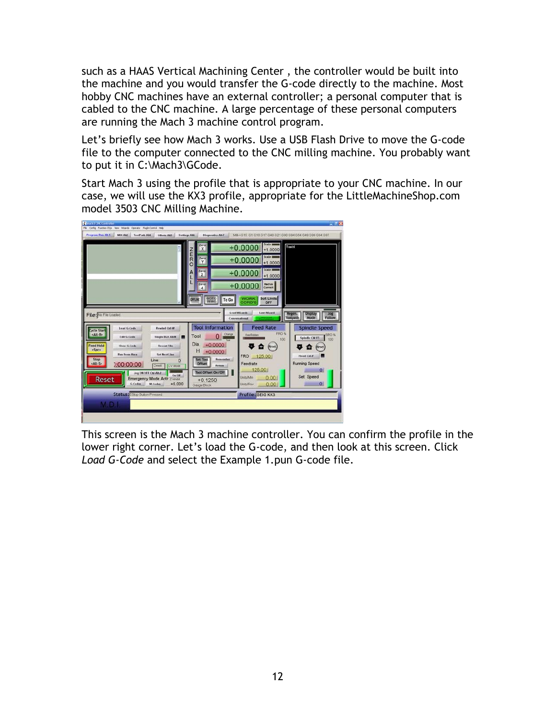such as a HAAS Vertical Machining Center , the controller would be built into the machine and you would transfer the G-code directly to the machine. Most hobby CNC machines have an external controller; a personal computer that is cabled to the CNC machine. A large percentage of these personal computers are running the Mach 3 machine control program.

Let's briefly see how Mach 3 works. Use a USB Flash Drive to move the G-code file to the computer connected to the CNC milling machine. You probably want to put it in C:\Mach3\GCode.

Start Mach 3 using the profile that is appropriate to your CNC machine. In our case, we will use the KX3 profile, appropriate for the LittleMachineShop.com model 3503 CNC Milling Machine.



This screen is the Mach 3 machine controller. You can confirm the profile in the lower right corner. Let's load the G-code, and then look at this screen. Click *Load G-Code* and select the Example 1.pun G-code file.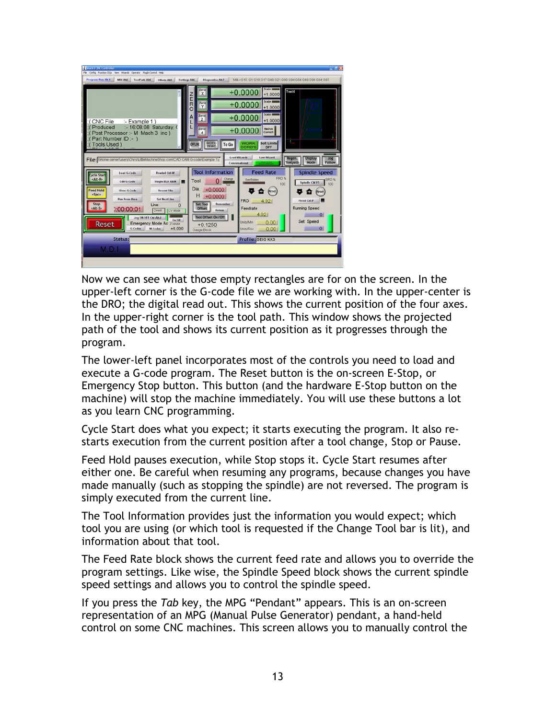| Officers AId.<br><b>Sottlags AIS</b>                                                                     | Zera<br>X                                     | MIL>G15 G1 G10 G17 G40 G21 G90 G94 G54 G49 G99 G64 G97<br>$+0.0000$<br>$+1.0000$ | Tool:0                                                               |
|----------------------------------------------------------------------------------------------------------|-----------------------------------------------|----------------------------------------------------------------------------------|----------------------------------------------------------------------|
|                                                                                                          | ORE<br><b>Zero</b><br>Y                       | $+0.0000$<br>$+1.0000$                                                           |                                                                      |
| CNC File<br>:- Example 1)                                                                                | Zero<br>z                                     | Scale 1<br>$+0.0000$<br>$+1.0000$                                                |                                                                      |
| :- 16:08:08 Saturday, 0<br>Produced<br>Post Processor :- M Mach 3 inc)<br>Part Number ID:- )             | Zero<br>4                                     | Radius<br>Correct<br>$+0.0000$                                                   |                                                                      |
| ools Used)                                                                                               | GOTO<br><b>OFFLINE</b><br>To Go               | <b>Soft Limits</b><br><b>WORK</b><br><b>CORD'S</b><br>OFF                        |                                                                      |
| File: WHome-servertusers\Chris\LittleMachineShop.com\CAD CAM G-code\Example 1 (                          |                                               | <b>Load Wizards</b><br><b>Last Wizard</b><br>Conversational                      | Regen.<br><b>Display</b><br><b>Jog</b><br>Mode<br>Toolpath<br>Follow |
| Load G.Code<br><b>Rewind Cat.W</b><br><b>Cycle Start</b><br><alt-r></alt-r>                              | <b>Tool Information</b><br>Change             | <b>Feed Rate</b><br>FRO %<br>OverRidden                                          | <b>Spindle Speed</b><br><b>SRO</b>                                   |
| Edit G.Code<br>Single BLK Ah N<br><b>Feed Hold</b><br>Clean G.Code<br><b>Recent File</b>                 | Tool<br>0<br>Dia.<br>$+0.0000$                | 100<br>(Reset)                                                                   | Spindle CWFS<br>100<br>в<br>Ð<br>Reset                               |
| <spc><br/><b>Set Next Line</b><br/><b>Run Frem Hara</b><br/>Stop<br/>Line:<br/>٥</spc>                   | Н<br>$+0.0000$<br>Remember<br>Set Tool        | <b>FRO</b><br>4.92                                                               | Flood Chil-                                                          |
| <alt-s><br/>0:00:00:01<br/>Dwed<br/><b>CV Mode</b><br/>Jug ON OFF CM ARJ<br/><math>0m</math> Off</alt-s> | <b>Offset</b><br>Return<br>Tool Offset On/Off | Feedrate<br>4.92                                                                 | <b>Running Speed</b><br>$\Omega$                                     |
| <b>Emergency Mode Ac</b><br><b>Reset</b><br>Zinhibit<br>$+6.000$<br>G.Cades<br><b>M.Codes</b>            | $+0.1250$<br>Gauge Block                      | <b>Instrument</b><br>0.00<br><b>JnitsRev</b><br>0.00                             | Set Speed<br>$\alpha$                                                |
| Status:                                                                                                  |                                               | Profile: SEIG KX3                                                                |                                                                      |
| <b>M.D.I</b>                                                                                             |                                               |                                                                                  |                                                                      |

Now we can see what those empty rectangles are for on the screen. In the upper-left corner is the G-code file we are working with. In the upper-center is the DRO; the digital read out. This shows the current position of the four axes. In the upper-right corner is the tool path. This window shows the projected path of the tool and shows its current position as it progresses through the program.

The lower-left panel incorporates most of the controls you need to load and execute a G-code program. The Reset button is the on-screen E-Stop, or Emergency Stop button. This button (and the hardware E-Stop button on the machine) will stop the machine immediately. You will use these buttons a lot as you learn CNC programming.

Cycle Start does what you expect; it starts executing the program. It also restarts execution from the current position after a tool change, Stop or Pause.

Feed Hold pauses execution, while Stop stops it. Cycle Start resumes after either one. Be careful when resuming any programs, because changes you have made manually (such as stopping the spindle) are not reversed. The program is simply executed from the current line.

The Tool Information provides just the information you would expect; which tool you are using (or which tool is requested if the Change Tool bar is lit), and information about that tool.

The Feed Rate block shows the current feed rate and allows you to override the program settings. Like wise, the Spindle Speed block shows the current spindle speed settings and allows you to control the spindle speed.

If you press the *Tab* key, the MPG "Pendant" appears. This is an on-screen representation of an MPG (Manual Pulse Generator) pendant, a hand-held control on some CNC machines. This screen allows you to manually control the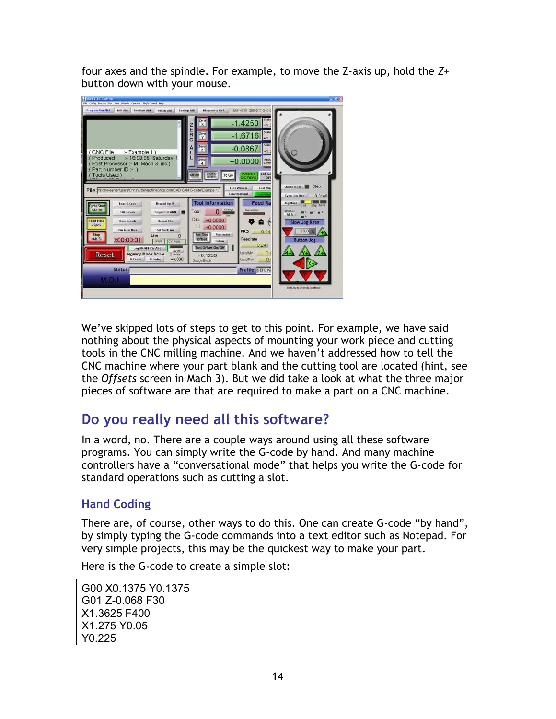four axes and the spindle. For example, to move the Z-axis up, hold the *Z+* button down with your mouse.



We've skipped lots of steps to get to this point. For example, we have said nothing about the physical aspects of mounting your work piece and cutting tools in the CNC milling machine. And we haven't addressed how to tell the CNC machine where your part blank and the cutting tool are located (hint, see the *Offsets* screen in Mach 3). But we did take a look at what the three major pieces of software are that are required to make a part on a CNC machine.

## **Do you really need all this software?**

In a word, no. There are a couple ways around using all these software programs. You can simply write the G-code by hand. And many machine controllers have a "conversational mode" that helps you write the G-code for standard operations such as cutting a slot.

#### **Hand Coding**

There are, of course, other ways to do this. One can create G-code "by hand", by simply typing the G-code commands into a text editor such as Notepad. For very simple projects, this may be the quickest way to make your part.

Here is the G-code to create a simple slot:

G00 X0.1375 Y0.1375 G01 Z-0.068 F30 X1.3625 F400 X1.275 Y0.05 Y0.225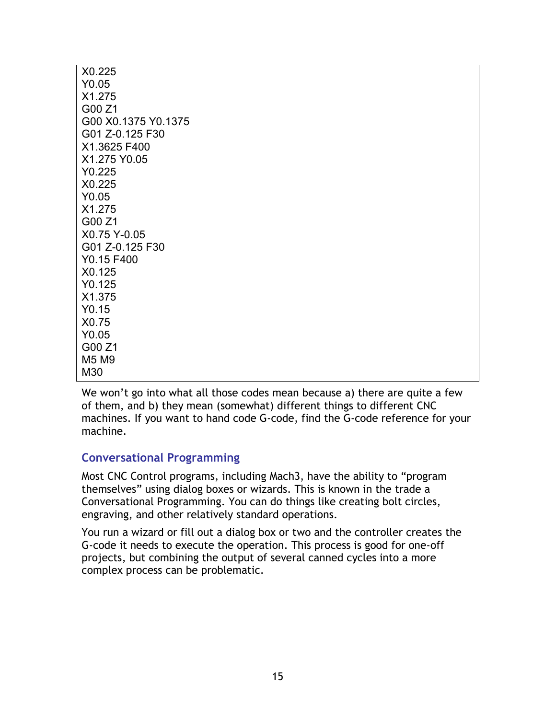| X0.225              |
|---------------------|
| Y0.05               |
| X1.275              |
| G00 Z1              |
| G00 X0.1375 Y0.1375 |
| G01 Z-0.125 F30     |
| X1.3625 F400        |
| X1.275 Y0.05        |
| Y0.225              |
| X <sub>0.225</sub>  |
| Y0.05               |
| X1.275              |
| G00 Z1              |
| X0.75 Y-0.05        |
| G01 Z-0.125 F30     |
| Y0.15 F400          |
| X0.125              |
| Y0.125              |
| X1.375              |
| Y <sub>0.15</sub>   |
| X0.75               |
| Y0.05               |
| G00 Z1              |
| M5 M9               |
| M30                 |

We won't go into what all those codes mean because a) there are quite a few of them, and b) they mean (somewhat) different things to different CNC machines. If you want to hand code G-code, find the G-code reference for your machine.

#### **Conversational Programming**

Most CNC Control programs, including Mach3, have the ability to "program themselves" using dialog boxes or wizards. This is known in the trade a Conversational Programming. You can do things like creating bolt circles, engraving, and other relatively standard operations.

You run a wizard or fill out a dialog box or two and the controller creates the G-code it needs to execute the operation. This process is good for one-off projects, but combining the output of several canned cycles into a more complex process can be problematic.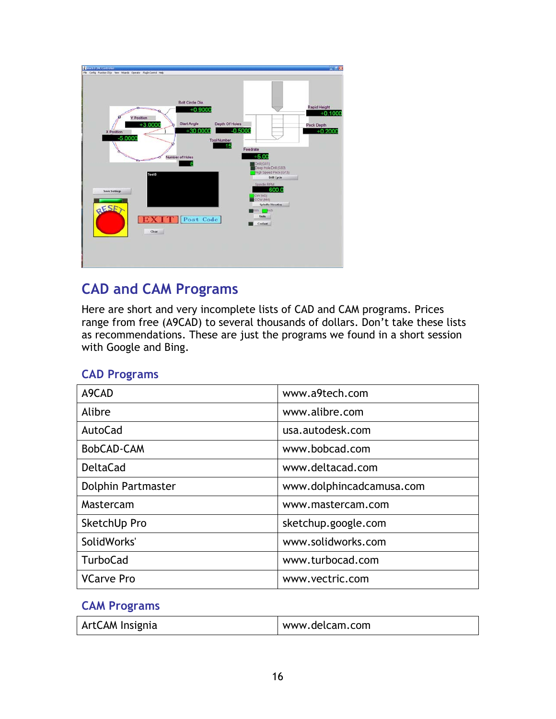| <b>C</b> production controller                                                                                                                                                                                                                                                                                                                                                                                                                                                                                                            | <b>Carl Address</b>                                         |
|-------------------------------------------------------------------------------------------------------------------------------------------------------------------------------------------------------------------------------------------------------------------------------------------------------------------------------------------------------------------------------------------------------------------------------------------------------------------------------------------------------------------------------------------|-------------------------------------------------------------|
| Fle Config Function Digis View, Wareds Operator Phigh-Control Help                                                                                                                                                                                                                                                                                                                                                                                                                                                                        |                                                             |
| Bolt Circle Dia.<br>$+0.9000$<br><b>Y Position</b><br><b>Start Angle</b><br>Depth Of Holes<br>$+3.0000$<br>$-0.5000$<br>$+30.0000$<br>X Position<br>$-5.0000$<br><b>Tool Number</b><br>- 15<br>Feedrate<br>$+5.00$<br>Number of Holes<br>Cril (G81)<br>Deep Hole Drill (G83)<br>High Speed Peck (G73)<br>Tool:0<br>Drill Cycle<br>Spindle RPM<br>600.0<br><b>Save Settings</b><br>CW (M3)<br>CCW (M4)<br><b>Spindle Direction</b><br>aESE<br><b>Trich</b><br>mm i<br><b>Units</b><br><b>EXIT1</b><br>Post Code<br><b>Coolant</b><br>Clear | <b>Rapid Height</b><br>$+0.1000$<br>Peck Depth<br>$+0.2000$ |

# **CAD and CAM Programs**

Here are short and very incomplete lists of CAD and CAM programs. Prices range from free (A9CAD) to several thousands of dollars. Don't take these lists as recommendations. These are just the programs we found in a short session with Google and Bing.

|  | <b>CAD Programs</b> |
|--|---------------------|
|--|---------------------|

| A9CAD                     | www.a9tech.com           |
|---------------------------|--------------------------|
| Alibre                    | www.alibre.com           |
| AutoCad                   | usa.autodesk.com         |
| BobCAD-CAM                | www.bobcad.com           |
| <b>DeltaCad</b>           | www.deltacad.com         |
| <b>Dolphin Partmaster</b> | www.dolphincadcamusa.com |
| Mastercam                 | www.mastercam.com        |
| SketchUp Pro              | sketchup.google.com      |
| SolidWorks'               | www.solidworks.com       |
| <b>TurboCad</b>           | www.turbocad.com         |
| <b>VCarve Pro</b>         | www.vectric.com          |

#### **CAM Programs**

| ArtCAM Insignia | www.delcam.com |
|-----------------|----------------|
|-----------------|----------------|